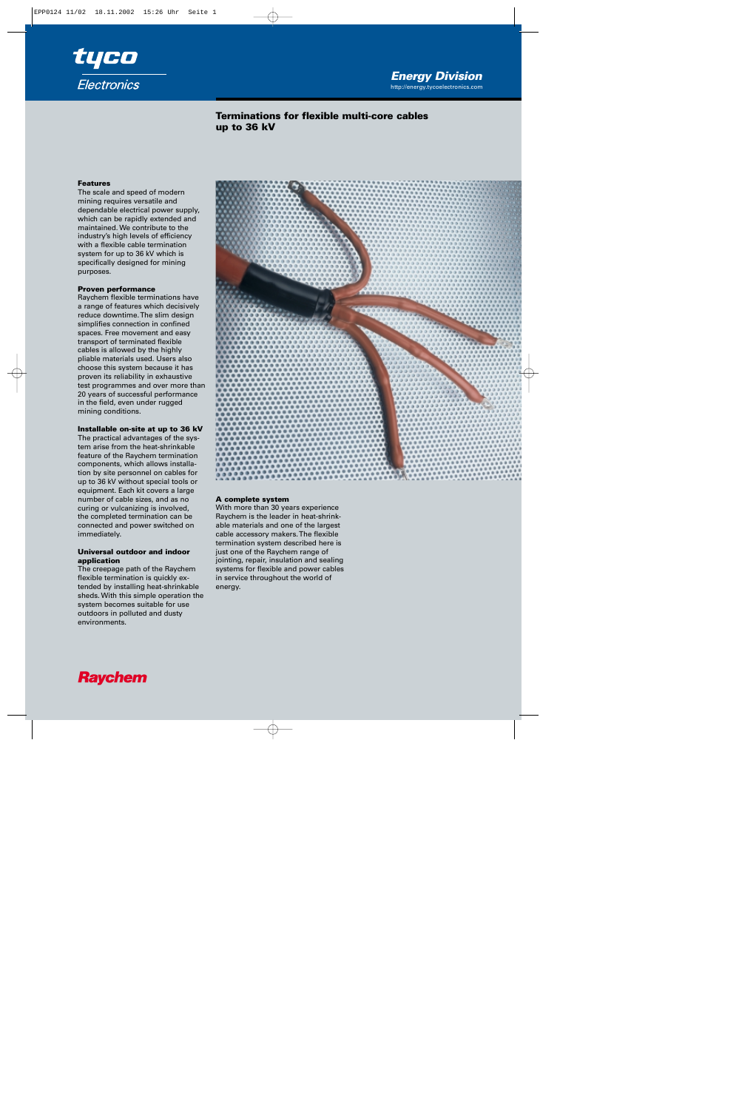

# **Terminations for flexible multi-core cables up to 36 kV**

### **Features**

The scale and speed of modern mining requires versatile and dependable electrical power supply, which can be rapidly extended and maintained. We contribute to the industry's high levels of efficiency with a flexible cable termination system for up to 36 kV which is specifically designed for mining purposes.

#### **Proven performance**

Raychem flexible terminations have a range of features which decisively reduce downtime. The slim design simplifies connection in confined spaces. Free movement and easy transport of terminated flexible cables is allowed by the highly pliable materials used. Users also choose this system because it has proven its reliability in exhaustive test programmes and over more than 20 years of successful performance in the field, even under rugged mining conditions.

# **Installable on-site at up to 36 kV**

The practical advantages of the system arise from the heat-shrinkable feature of the Raychem termination components, which allows installation by site personnel on cables for up to 36 kV without special tools or equipment. Each kit covers a large number of cable sizes, and as no curing or vulcanizing is involved, the completed termination can be connected and power switched on immediately.

## **Universal outdoor and indoor application**

The creepage path of the Raychem flexible termination is quickly extended by installing heat-shrinkable sheds. With this simple operation the system becomes suitable for use outdoors in polluted and dusty environments.



## **A complete system**

With more than 30 years experience Raychem is the leader in heat-shrinkable materials and one of the largest cable accessory makers. The flexible termination system described here is just one of the Raychem range of jointing, repair, insulation and sealing systems for flexible and power cables in service throughout the world of energy.